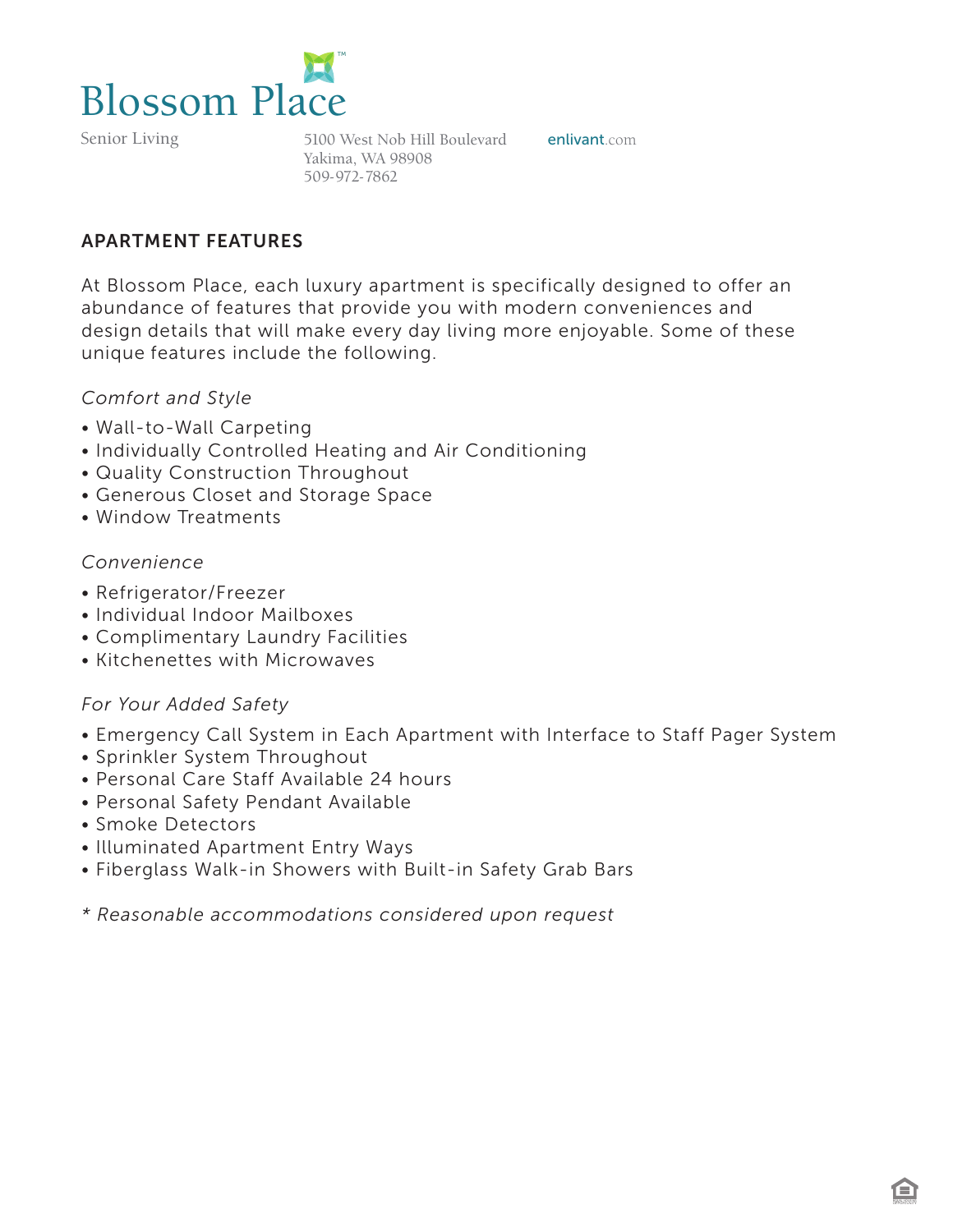

Senior Living

5100 West Nob Hill Boulevard enlivant.com Yakima, WA 98908 509-972-7862

# APARTMENT FEATURES

At Blossom Place, each luxury apartment is specifically designed to offer an abundance of features that provide you with modern conveniences and design details that will make every day living more enjoyable. Some of these unique features include the following.

### *Comfort and Style*

- Wall-to-Wall Carpeting
- Individually Controlled Heating and Air Conditioning
- Quality Construction Throughout
- Generous Closet and Storage Space
- Window Treatments

## *Convenience*

- Refrigerator/Freezer
- Individual Indoor Mailboxes
- Complimentary Laundry Facilities
- Kitchenettes with Microwaves

### *For Your Added Safety*

- Emergency Call System in Each Apartment with Interface to Staff Pager System
- Sprinkler System Throughout
- Personal Care Staff Available 24 hours
- Personal Safety Pendant Available
- Smoke Detectors
- Illuminated Apartment Entry Ways
- Fiberglass Walk-in Showers with Built-in Safety Grab Bars

*\* Reasonable accommodations considered upon request*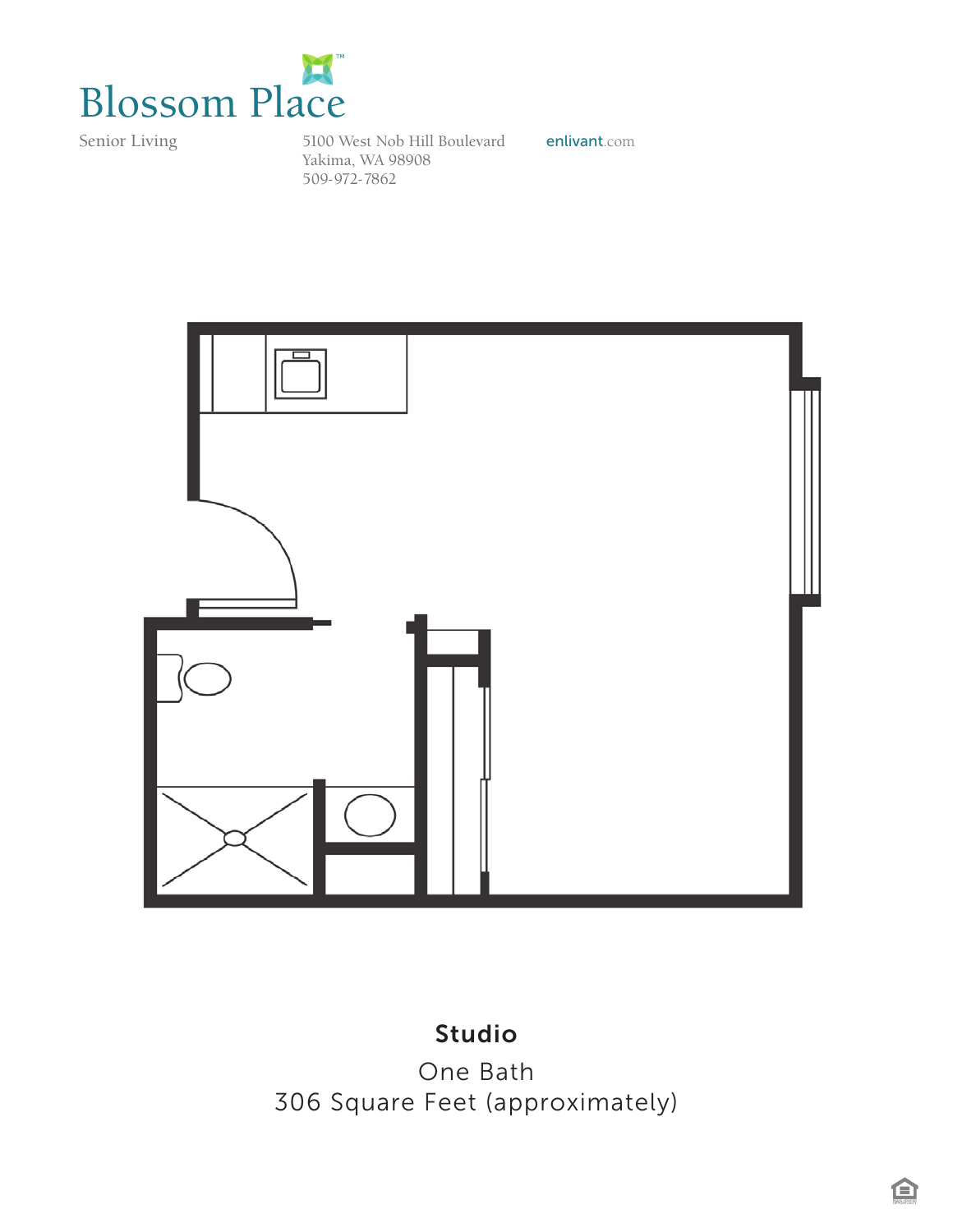

Senior Living

5100 West Nob Hill Boulevard enlivant.com Yakima, WA 98908 509-972-7862*Blossom House*



# Studio

One Bath 306 Square Feet (approximately)